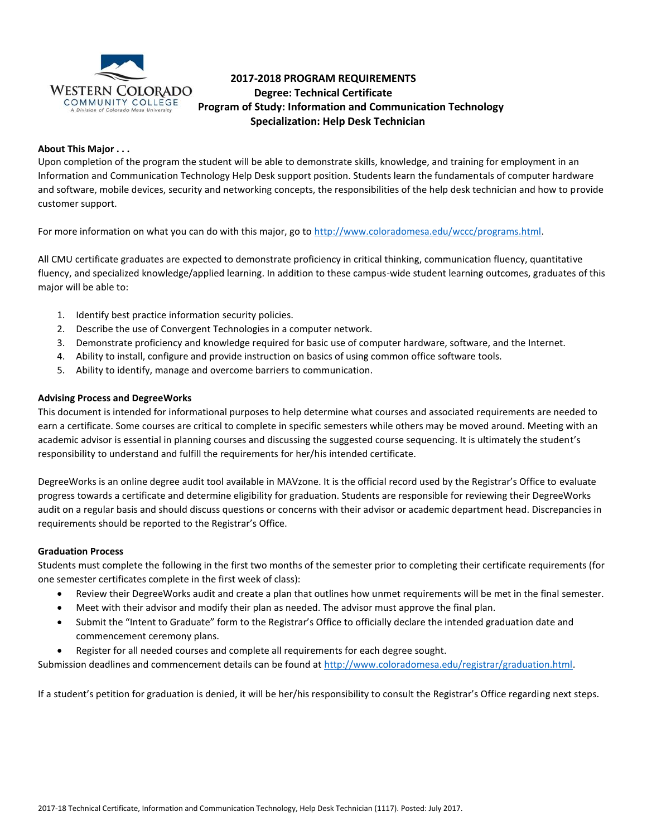

# **2017-2018 PROGRAM REQUIREMENTS Degree: Technical Certificate Program of Study: Information and Communication Technology Specialization: Help Desk Technician**

# **About This Major . . .**

Upon completion of the program the student will be able to demonstrate skills, knowledge, and training for employment in an Information and Communication Technology Help Desk support position. Students learn the fundamentals of computer hardware and software, mobile devices, security and networking concepts, the responsibilities of the help desk technician and how to provide customer support.

For more information on what you can do with this major, go to [http://www.coloradomesa.edu/wccc/programs.html.](http://www.coloradomesa.edu/wccc/programs.html)

All CMU certificate graduates are expected to demonstrate proficiency in critical thinking, communication fluency, quantitative fluency, and specialized knowledge/applied learning. In addition to these campus-wide student learning outcomes, graduates of this major will be able to:

- 1. Identify best practice information security policies.
- 2. Describe the use of Convergent Technologies in a computer network.
- 3. Demonstrate proficiency and knowledge required for basic use of computer hardware, software, and the Internet.
- 4. Ability to install, configure and provide instruction on basics of using common office software tools.
- 5. Ability to identify, manage and overcome barriers to communication.

## **Advising Process and DegreeWorks**

This document is intended for informational purposes to help determine what courses and associated requirements are needed to earn a certificate. Some courses are critical to complete in specific semesters while others may be moved around. Meeting with an academic advisor is essential in planning courses and discussing the suggested course sequencing. It is ultimately the student's responsibility to understand and fulfill the requirements for her/his intended certificate.

DegreeWorks is an online degree audit tool available in MAVzone. It is the official record used by the Registrar's Office to evaluate progress towards a certificate and determine eligibility for graduation. Students are responsible for reviewing their DegreeWorks audit on a regular basis and should discuss questions or concerns with their advisor or academic department head. Discrepancies in requirements should be reported to the Registrar's Office.

#### **Graduation Process**

Students must complete the following in the first two months of the semester prior to completing their certificate requirements (for one semester certificates complete in the first week of class):

- Review their DegreeWorks audit and create a plan that outlines how unmet requirements will be met in the final semester.
- Meet with their advisor and modify their plan as needed. The advisor must approve the final plan.
- Submit the "Intent to Graduate" form to the Registrar's Office to officially declare the intended graduation date and commencement ceremony plans.
- Register for all needed courses and complete all requirements for each degree sought.

Submission deadlines and commencement details can be found at [http://www.coloradomesa.edu/registrar/graduation.html.](http://www.coloradomesa.edu/registrar/graduation.html)

If a student's petition for graduation is denied, it will be her/his responsibility to consult the Registrar's Office regarding next steps.